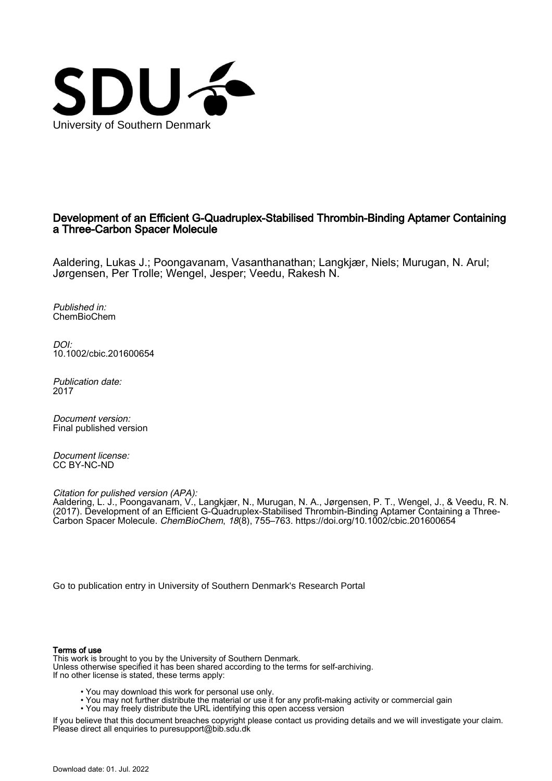

## Development of an Efficient G-Quadruplex-Stabilised Thrombin-Binding Aptamer Containing a Three-Carbon Spacer Molecule

Aaldering, Lukas J.; Poongavanam, Vasanthanathan; Langkjær, Niels; Murugan, N. Arul; Jørgensen, Per Trolle; Wengel, Jesper; Veedu, Rakesh N.

Published in: ChemBioChem

DOI: [10.1002/cbic.201600654](https://doi.org/10.1002/cbic.201600654)

Publication date: 2017

Document version: Final published version

Document license: CC BY-NC-ND

Citation for pulished version (APA):

Aaldering, L. J., Poongavanam, V., Langkjær, N., Murugan, N. A., Jørgensen, P. T., Wengel, J., & Veedu, R. N. (2017). Development of an Efficient G-Quadruplex-Stabilised Thrombin-Binding Aptamer Containing a Three-Carbon Spacer Molecule. ChemBioChem, 18(8), 755–763. <https://doi.org/10.1002/cbic.201600654>

[Go to publication entry in University of Southern Denmark's Research Portal](https://portal.findresearcher.sdu.dk/en/publications/c71bdd24-943e-436d-bb8d-43476bee16f5)

#### Terms of use

This work is brought to you by the University of Southern Denmark. Unless otherwise specified it has been shared according to the terms for self-archiving. If no other license is stated, these terms apply:

- You may download this work for personal use only.
- You may not further distribute the material or use it for any profit-making activity or commercial gain
	- You may freely distribute the URL identifying this open access version

If you believe that this document breaches copyright please contact us providing details and we will investigate your claim. Please direct all enquiries to puresupport@bib.sdu.dk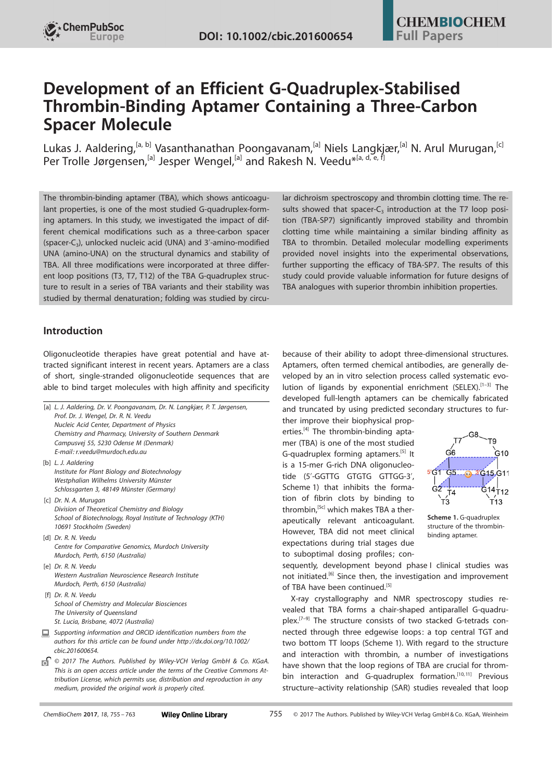# Development of an Efficient G-Quadruplex-Stabilised Thrombin-Binding Aptamer Containing a Three-Carbon Spacer Molecule

Lukas J. Aaldering,<sup>[a, b]</sup> Vasanthanathan Poongavanam,<sup>[a]</sup> Niels Langkjær,<sup>[a]</sup> N. Arul Murugan,<sup>[c]</sup> [Per](http://orcid.org/0000-0003-3932-5921) [Trolle Jørgensen](http://orcid.org/0000-0003-3932-5921), <sup>[a]</sup> [Jesper](http://orcid.org/0000-0001-9835-1009) [Wengel](http://orcid.org/0000-0001-9835-1009), <sup>[a]</sup> and [Rakesh](http://orcid.org/0000-0003-2192-9532) N. Veedu<sup>\* [a, d, e, f]</sup>

The thrombin-binding aptamer (TBA), which shows anticoagulant properties, is one of the most studied G-quadruplex-forming aptamers. In this study, we investigated the impact of different chemical modifications such as a three-carbon spacer (spacer-C<sub>3</sub>), unlocked nucleic acid (UNA) and 3'-amino-modified UNA (amino-UNA) on the structural dynamics and stability of TBA. All three modifications were incorporated at three different loop positions (T3, T7, T12) of the TBA G-quadruplex structure to result in a series of TBA variants and their stability was studied by thermal denaturation; folding was studied by circular dichroism spectroscopy and thrombin clotting time. The results showed that spacer- $C_3$  introduction at the T7 loop position (TBA-SP7) significantly improved stability and thrombin clotting time while maintaining a similar binding affinity as TBA to thrombin. Detailed molecular modelling experiments provided novel insights into the experimental observations, further supporting the efficacy of TBA-SP7. The results of this study could provide valuable information for future designs of TBA analogues with superior thrombin inhibition properties.

## Introduction

Oligonucleotide therapies have great potential and have attracted significant interest in recent years. Aptamers are a class of short, single-stranded oligonucleotide sequences that are able to bind target molecules with high affinity and specificity

[a] L. J. Aaldering, Dr. V. Poongavanam, Dr. N. Langkjær, P. T. Jørgensen, Prof. Dr. J. Wengel, Dr. R. N. Veedu Nucleic Acid Center, Department of Physics Chemistry and Pharmacy, University of Southern Denmark Campusvej 55, 5230 Odense M (Denmark) E-mail: r.veedu@murdoch.edu.au [b] L. J. Aaldering Institute for Plant Biology and Biotechnology Westphalian Wilhelms University Münster Schlossgarten 3, 48149 Münster (Germany) [c] Dr. N. A. Murugan Division of Theoretical Chemistry and Biology School of Biotechnology, Royal Institute of Technology (KTH) 10691 Stockholm (Sweden) [d] Dr. R. N. Veedu Centre for Comparative Genomics, Murdoch University Murdoch, Perth, 6150 (Australia) [e] Dr. R. N. Veedu Western Australian Neuroscience Research Institute Murdoch, Perth, 6150 (Australia) [f] Dr. R. N. Veedu School of Chemistry and Molecular Biosciences The University of Queensland St. Lucia, Brisbane, 4072 (Australia) Supporting information and ORCID identification numbers from the authors for this article can be found under [http://dx.doi.org/10.1002/](http://dx.doi.org/10.1002/cbic.201600654) [cbic.201600654.](http://dx.doi.org/10.1002/cbic.201600654) © 2017 The Authors. Published by Wiley-VCH Verlag GmbH & Co. KGaA. 同 This is an open access article under the terms of the Creative Commons Attribution License, which permits use, distribution and reproduction in any

because of their ability to adopt three-dimensional structures. Aptamers, often termed chemical antibodies, are generally developed by an in vitro selection process called systematic evolution of ligands by exponential enrichment (SELEX).<sup>[1–3]</sup> The developed full-length aptamers can be chemically fabricated and truncated by using predicted secondary structures to fur-

ther improve their biophysical properties.<sup>[4]</sup> The thrombin-binding aptamer (TBA) is one of the most studied G-quadruplex forming aptamers.<sup>[5]</sup> It is a 15-mer G-rich DNA oligonucleotide (5'-GGTTG GTGTG GTTGG-3', Scheme 1) that inhibits the formation of fibrin clots by binding to thrombin,<sup>[5c]</sup> which makes TBA a therapeutically relevant anticoagulant. However, TBA did not meet clinical expectations during trial stages due to suboptimal dosing profiles; con-



Scheme 1. G-quadruplex structure of the thrombinbinding aptamer.

sequently, development beyond phase I clinical studies was not initiated.[6] Since then, the investigation and improvement of TBA have been continued.<sup>[5]</sup>

X-ray crystallography and NMR spectroscopy studies revealed that TBA forms a chair-shaped antiparallel G-quadruplex.<sup>[7-9]</sup> The structure consists of two stacked G-tetrads connected through three edgewise loops: a top central TGT and two bottom TT loops (Scheme 1). With regard to the structure and interaction with thrombin, a number of investigations have shown that the loop regions of TBA are crucial for thrombin interaction and G-quadruplex formation.<sup>[10,11]</sup> Previous structure–activity relationship (SAR) studies revealed that loop

medium, provided the original work is properly cited.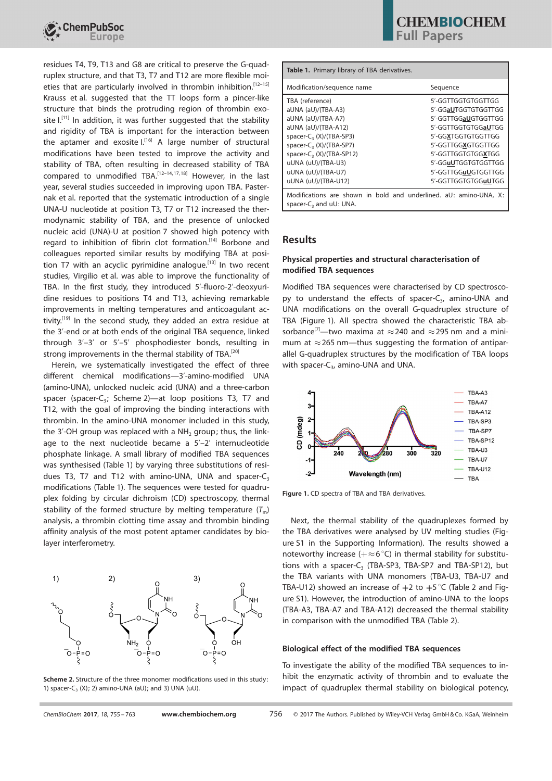

residues T4, T9, T13 and G8 are critical to preserve the G-quadruplex structure, and that T3, T7 and T12 are more flexible moieties that are particularly involved in thrombin inhibition.<sup>[12-15]</sup> Krauss et al. suggested that the TT loops form a pincer-like structure that binds the protruding region of thrombin exosite  $I<sub>1</sub><sup>[11]</sup>$  In addition, it was further suggested that the stability and rigidity of TBA is important for the interaction between the aptamer and exosite  $I^{[16]}$  A large number of structural modifications have been tested to improve the activity and stability of TBA, often resulting in decreased stability of TBA compared to unmodified TBA.<sup>[12-14,17,18]</sup> However, in the last year, several studies succeeded in improving upon TBA. Pasternak et al. reported that the systematic introduction of a single UNA-U nucleotide at position T3, T7 or T12 increased the thermodynamic stability of TBA, and the presence of unlocked nucleic acid (UNA)-U at position 7 showed high potency with regard to inhibition of fibrin clot formation.<sup>[14]</sup> Borbone and colleagues reported similar results by modifying TBA at position T7 with an acyclic pyrimidine analogue.<sup>[13]</sup> In two recent studies, Virgilio et al. was able to improve the functionality of TBA. In the first study, they introduced 5'-fluoro-2'-deoxyuridine residues to positions T4 and T13, achieving remarkable improvements in melting temperatures and anticoagulant activity.<sup>[19]</sup> In the second study, they added an extra residue at the 3'-end or at both ends of the original TBA sequence, linked through 3'–3' or 5'–5' phosphodiester bonds, resulting in strong improvements in the thermal stability of TBA.<sup>[20]</sup>

Herein, we systematically investigated the effect of three different chemical modifications—3'-amino-modified UNA (amino-UNA), unlocked nucleic acid (UNA) and a three-carbon spacer (spacer-C<sub>3</sub>; Scheme 2)—at loop positions T3, T7 and T12, with the goal of improving the binding interactions with thrombin. In the amino-UNA monomer included in this study, the 3'-OH group was replaced with a  $NH<sub>2</sub>$  group; thus, the linkage to the next nucleotide became a 5'–2' internucleotide phosphate linkage. A small library of modified TBA sequences was synthesised (Table 1) by varying three substitutions of residues T3, T7 and T12 with amino-UNA, UNA and spacer- $C_3$ modifications (Table 1). The sequences were tested for quadruplex folding by circular dichroism (CD) spectroscopy, thermal stability of the formed structure by melting temperature  $(T_m)$ analysis, a thrombin clotting time assay and thrombin binding affinity analysis of the most potent aptamer candidates by biolayer interferometry.





| Table 1. Primary library of TBA derivatives.                                                                                                                                                                                                            |                                                                                                                                                                                                                                |  |  |  |
|---------------------------------------------------------------------------------------------------------------------------------------------------------------------------------------------------------------------------------------------------------|--------------------------------------------------------------------------------------------------------------------------------------------------------------------------------------------------------------------------------|--|--|--|
| Modification/sequence name                                                                                                                                                                                                                              | Sequence                                                                                                                                                                                                                       |  |  |  |
| TBA (reference)<br>aUNA (aU)/(TBA-A3)<br>aUNA (aU)/(TBA-A7)<br>aUNA (aU)/(TBA-A12)<br>spacer-C <sub>3</sub> (X)/(TBA-SP3)<br>spacer-C, (X)/(TBA-SP7)<br>spacer- $C_3$ (X)/(TBA-SP12)<br>uUNA (uU)/(TBA-U3)<br>uUNA (uU)/(TBA-U7)<br>uUNA (uU)/(TBA-U12) | 5'-GGTTGGTGTGGTTGG<br>5'-GGaUTGGTGTGGTTGG<br>5'-GGTTGGaUGTGGTTGG<br>5'-GGTTGGTGTGGaUTGG<br>5'-GGXTGGTGTGGTTGG<br>5'-GGTTGGXGTGGTTGG<br>5'-GGTTGGTGTGGXTGG<br>5'-GGuUTGGTGTGGTTGG<br>5'-GGTTGGuUGTGGTTGG<br>5'-GGTTGGTGTGGuUTGG |  |  |  |
| Modifications are shown in bold and underlined. aU: amino-UNA, X:<br>spacer-C, and uU: UNA.                                                                                                                                                             |                                                                                                                                                                                                                                |  |  |  |

## Results

#### Physical properties and structural characterisation of modified TBA sequences

Modified TBA sequences were characterised by CD spectroscopy to understand the effects of spacer-C<sub>3</sub>, amino-UNA and UNA modifications on the overall G-quadruplex structure of TBA (Figure 1). All spectra showed the characteristic TBA absorbance<sup>[7]</sup>—two maxima at  $\approx$  240 and  $\approx$  295 nm and a minimum at  $\approx$  265 nm—thus suggesting the formation of antiparallel G-quadruplex structures by the modification of TBA loops with spacer- $C_3$ , amino-UNA and UNA.



Figure 1. CD spectra of TBA and TBA derivatives.

Next, the thermal stability of the quadruplexes formed by the TBA derivatives were analysed by UV melting studies (Figure S1 in the Supporting Information). The results showed a noteworthy increase  $(+\infty 6^{\circ}C)$  in thermal stability for substitutions with a spacer- $C_3$  (TBA-SP3, TBA-SP7 and TBA-SP12), but the TBA variants with UNA monomers (TBA-U3, TBA-U7 and TBA-U12) showed an increase of  $+2$  to  $+5$ °C (Table 2 and Figure S1). However, the introduction of amino-UNA to the loops (TBA-A3, TBA-A7 and TBA-A12) decreased the thermal stability in comparison with the unmodified TBA (Table 2).

#### Biological effect of the modified TBA sequences

To investigate the ability of the modified TBA sequences to inhibit the enzymatic activity of thrombin and to evaluate the impact of quadruplex thermal stability on biological potency,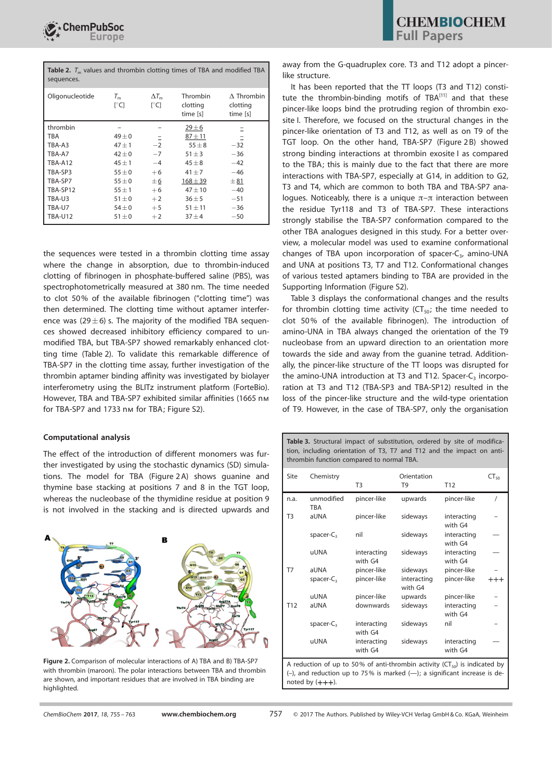

| <b>Table 2.</b> $T_m$ values and thrombin clotting times of TBA and modified TBA<br>sequences. |                     |                      |                      |                               |
|------------------------------------------------------------------------------------------------|---------------------|----------------------|----------------------|-------------------------------|
| Oligonucleotide                                                                                | $\Gamma^{\circ}$ C1 | $\Delta T_m$<br>r°C1 | Thrombin<br>clotting | $\Delta$ Thrombin<br>clotting |

|                | l U        | l U  | ciotting<br>time [s] | CIOLLITIU<br>time [s] |
|----------------|------------|------|----------------------|-----------------------|
| thrombin       |            |      | $29 \pm 6$           |                       |
| TBA            | $49\pm0$   | -    | $87 + 11$            |                       |
| TBA-A3         | $47 + 1$   | $-2$ | $55 \pm 8$           | $-32$                 |
| TBA-A7         | $42 \pm 0$ | $-7$ | $51 \pm 3$           | $-36$                 |
| TBA-A12        | $45 \pm 1$ | $-4$ | $45 \pm 8$           | $-42$                 |
| TBA-SP3        | $55 \pm 0$ | $+6$ | $41 + 7$             | $-46$                 |
| TBA-SP7        | $55 \pm 0$ | ±6   | $168 + 39$           | ±81                   |
| TBA-SP12       | $55 \pm 1$ | $+6$ | $47 + 10$            | $-40$                 |
| TBA-U3         | $51 \pm 0$ | $+2$ | $36 + 5$             | $-51$                 |
| TBA-U7         | $54\pm0$   | $+5$ | $51 \pm 11$          | $-36$                 |
| <b>TBA-U12</b> | $51 \pm 0$ | $+2$ | $37 + 4$             | $-50$                 |
|                |            |      |                      |                       |

the sequences were tested in a thrombin clotting time assay where the change in absorption, due to thrombin-induced clotting of fibrinogen in phosphate-buffered saline (PBS), was spectrophotometrically measured at 380 nm. The time needed to clot 50% of the available fibrinogen ("clotting time") was then determined. The clotting time without aptamer interference was (29 $\pm$ 6) s. The majority of the modified TBA sequences showed decreased inhibitory efficiency compared to unmodified TBA, but TBA-SP7 showed remarkably enhanced clotting time (Table 2). To validate this remarkable difference of TBA-SP7 in the clotting time assay, further investigation of the thrombin aptamer binding affinity was investigated by biolayer interferometry using the BLITz instrument platform (ForteBio). However, TBA and TBA-SP7 exhibited similar affinities (1665 nm for TBA-SP7 and 1733 nm for TBA; Figure S2).

The effect of the introduction of different monomers was further investigated by using the stochastic dynamics (SD) simulations. The model for TBA (Figure 2 A) shows guanine and thymine base stacking at positions 7 and 8 in the TGT loop, whereas the nucleobase of the thymidine residue at position 9 is not involved in the stacking and is directed upwards and

#### Computational analysis



Figure 2. Comparison of molecular interactions of A) TBA and B) TBA-SP7 with thrombin (maroon). The polar interactions between TBA and thrombin are shown, and important residues that are involved in TBA binding are highlighted.

**CHEMBIOCHEM** Full Papers

away from the G-quadruplex core. T3 and T12 adopt a pincerlike structure.

It has been reported that the TT loops (T3 and T12) constitute the thrombin-binding motifs of TBA<sup>[11]</sup> and that these pincer-like loops bind the protruding region of thrombin exosite I. Therefore, we focused on the structural changes in the pincer-like orientation of T3 and T12, as well as on T9 of the TGT loop. On the other hand, TBA-SP7 (Figure 2B) showed strong binding interactions at thrombin exosite I as compared to the TBA; this is mainly due to the fact that there are more interactions with TBA-SP7, especially at G14, in addition to G2, T3 and T4, which are common to both TBA and TBA-SP7 analogues. Noticeably, there is a unique  $\pi-\pi$  interaction between the residue Tyr118 and T3 of TBA-SP7. These interactions strongly stabilise the TBA-SP7 conformation compared to the other TBA analogues designed in this study. For a better overview, a molecular model was used to examine conformational changes of TBA upon incorporation of spacer- $C_3$ , amino-UNA and UNA at positions T3, T7 and T12. Conformational changes of various tested aptamers binding to TBA are provided in the Supporting Information (Figure S2).

Table 3 displays the conformational changes and the results for thrombin clotting time activity ( $CT_{50}$ ; the time needed to clot 50% of the available fibrinogen). The introduction of amino-UNA in TBA always changed the orientation of the T9 nucleobase from an upward direction to an orientation more towards the side and away from the guanine tetrad. Additionally, the pincer-like structure of the TT loops was disrupted for the amino-UNA introduction at T3 and T12. Spacer- $C_3$  incorporation at T3 and T12 (TBA-SP3 and TBA-SP12) resulted in the loss of the pincer-like structure and the wild-type orientation of T9. However, in the case of TBA-SP7, only the organisation

Table 3. Structural impact of substitution, ordered by site of modification, including orientation of T3, T7 and T12 and the impact on antithrombin function compared to normal TBA.

| Site                                                                    | Chemistry                | T3                     | Orientation<br>T <sub>9</sub> | T <sub>12</sub>        | $CT_{50}$ |
|-------------------------------------------------------------------------|--------------------------|------------------------|-------------------------------|------------------------|-----------|
|                                                                         |                          |                        |                               |                        |           |
| n.a.                                                                    | unmodified<br><b>TBA</b> | pincer-like            | upwards                       | pincer-like            |           |
| T <sub>3</sub>                                                          | aUNA                     | pincer-like            | sideways                      | interacting<br>with G4 |           |
|                                                                         | spacer- $C_3$            | nil                    | sideways                      | interacting<br>with G4 |           |
|                                                                         | <b>uUNA</b>              | interacting<br>with G4 | sideways                      | interacting<br>with G4 |           |
| T7                                                                      | aUNA                     | pincer-like            | sideways                      | pincer-like            |           |
|                                                                         | spacer- $C_3$            | pincer-like            | interacting<br>with G4        | pincer-like            | $^{+++}$  |
|                                                                         | uUNA                     | pincer-like            | upwards                       | pincer-like            |           |
| T <sub>12</sub>                                                         | aUNA                     | downwards              | sideways                      | interacting<br>with G4 |           |
|                                                                         | spacer- $C_3$            | interacting<br>with G4 | sideways                      | nil                    |           |
|                                                                         | <b>uUNA</b>              | interacting<br>with G4 | sideways                      | interacting<br>with G4 |           |
| A reduction of up to 50% of anti-thrombin activity (CT) is indicated by |                          |                        |                               |                        |           |

A reduction of up to 50% of anti-thrombin activity (CT $_{50}$ ) is indicated by (–), and reduction up to 75% is marked (—); a significant increase is denoted by  $(+++)$ .

ChemBioChem 2017, 18, 755 - 763 [www.chembiochem.org](http://www.chembiochem.org) 757 © 2017 The Authors. Published by Wiley-VCH Verlag GmbH & Co. KGaA, Weinheim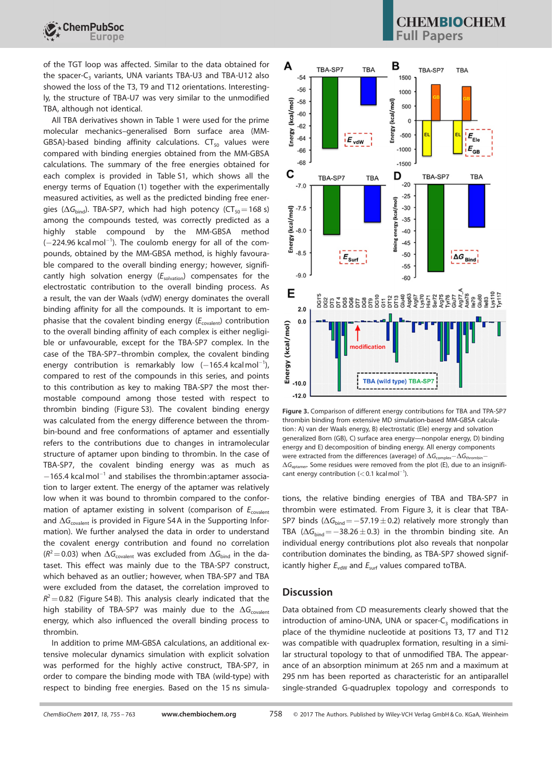

of the TGT loop was affected. Similar to the data obtained for the spacer-C<sub>3</sub> variants, UNA variants TBA-U3 and TBA-U12 also showed the loss of the T3, T9 and T12 orientations. Interestingly, the structure of TBA-U7 was very similar to the unmodified TBA, although not identical.

All TBA derivatives shown in Table 1 were used for the prime molecular mechanics–generalised Born surface area (MM-GBSA)-based binding affinity calculations.  $CT_{50}$  values were compared with binding energies obtained from the MM-GBSA calculations. The summary of the free energies obtained for each complex is provided in Table S1, which shows all the energy terms of Equation (1) together with the experimentally measured activities, as well as the predicted binding free energies ( $\Delta G_{bind}$ ). TBA-SP7, which had high potency (CT<sub>50</sub>=168 s) among the compounds tested, was correctly predicted as a highly stable compound by the MM-GBSA method  $(-224.96$  kcalmol<sup>-1</sup>). The coulomb energy for all of the compounds, obtained by the MM-GBSA method, is highly favourable compared to the overall binding energy; however, significantly high solvation energy  $(E_{\text{solvation}})$  compensates for the electrostatic contribution to the overall binding process. As a result, the van der Waals (vdW) energy dominates the overall binding affinity for all the compounds. It is important to emphasise that the covalent binding energy  $(E_{\text{covalent}})$  contribution to the overall binding affinity of each complex is either negligible or unfavourable, except for the TBA-SP7 complex. In the case of the TBA-SP7–thrombin complex, the covalent binding energy contribution is remarkably low  $(-165.4 \text{ kcal mol}^{-1})$ , compared to rest of the compounds in this series, and points to this contribution as key to making TBA-SP7 the most thermostable compound among those tested with respect to thrombin binding (Figure S3). The covalent binding energy was calculated from the energy difference between the thrombin-bound and free conformations of aptamer and essentially refers to the contributions due to changes in intramolecular structure of aptamer upon binding to thrombin. In the case of TBA-SP7, the covalent binding energy was as much as  $-165.4$  kcalmol<sup>-1</sup> and stabilises the thrombin: aptamer association to larger extent. The energy of the aptamer was relatively low when it was bound to thrombin compared to the conformation of aptamer existing in solvent (comparison of  $E_{\text{covalent}}$ and  $\Delta G_{\text{covalent}}$  is provided in Figure S4A in the Supporting Information). We further analysed the data in order to understand the covalent energy contribution and found no correlation  $(R^2=0.03)$  when  $\Delta G_{\text{covalent}}$  was excluded from  $\Delta G_{\text{bind}}$  in the dataset. This effect was mainly due to the TBA-SP7 construct, which behaved as an outlier; however, when TBA-SP7 and TBA were excluded from the dataset, the correlation improved to  $R^2$  = 0.82 (Figure S4 B). This analysis clearly indicated that the high stability of TBA-SP7 was mainly due to the  $\Delta G_{\text{covalent}}$ energy, which also influenced the overall binding process to thrombin.

In addition to prime MM-GBSA calculations, an additional extensive molecular dynamics simulation with explicit solvation was performed for the highly active construct, TBA-SP7, in order to compare the binding mode with TBA (wild-type) with respect to binding free energies. Based on the 15 ns simula-

## **CHEMBIOCHEM I** Papers



Figure 3. Comparison of different energy contributions for TBA and TPA-SP7 thrombin binding from extensive MD simulation-based MM-GBSA calculation: A) van der Waals energy, B) electrostatic (Ele) energy and solvation generalized Born (GB), C) surface area energy—nonpolar energy, D) binding energy and E) decomposition of binding energy. All energy components were extracted from the differences (average) of  $\Delta G_{\text{meas}} - \Delta G_{\text{th}}$  $\Delta G_{\text{aptamer}}$  Some residues were removed from the plot (E), due to an insignificant energy contribution  $(< 0.1$  kcalmol<sup>-1</sup>).

tions, the relative binding energies of TBA and TBA-SP7 in thrombin were estimated. From Figure 3, it is clear that TBA-SP7 binds ( $\Delta G_{bind}$  = -57.19  $\pm$  0.2) relatively more strongly than TBA ( $\Delta G_{bind}$  = -38.26 ± 0.3) in the thrombin binding site. An individual energy contributions plot also reveals that nonpolar contribution dominates the binding, as TBA-SP7 showed significantly higher  $E_{\text{vdW}}$  and  $E_{\text{surf}}$  values compared toTBA.

## **Discussion**

Data obtained from CD measurements clearly showed that the introduction of amino-UNA, UNA or spacer- $C_3$  modifications in place of the thymidine nucleotide at positions T3, T7 and T12 was compatible with quadruplex formation, resulting in a similar structural topology to that of unmodified TBA. The appearance of an absorption minimum at 265 nm and a maximum at 295 nm has been reported as characteristic for an antiparallel single-stranded G-quadruplex topology and corresponds to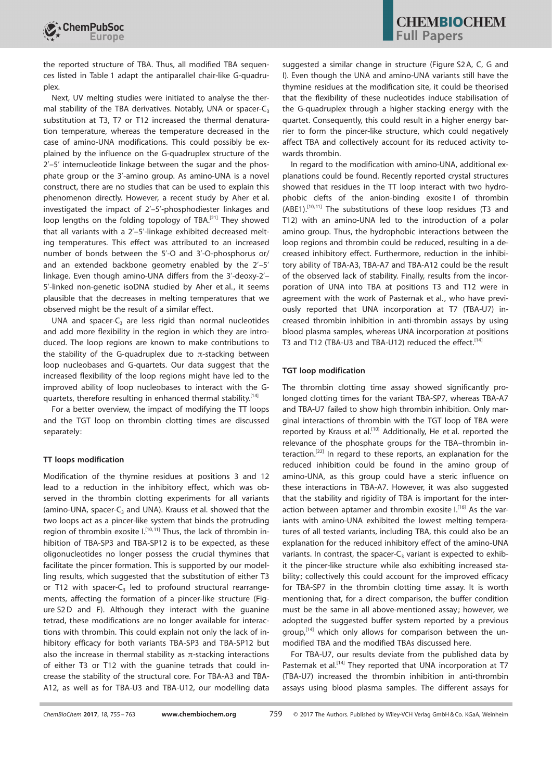

the reported structure of TBA. Thus, all modified TBA sequences listed in Table 1 adapt the antiparallel chair-like G-quadruplex.

Next, UV melting studies were initiated to analyse the thermal stability of the TBA derivatives. Notably, UNA or spacer- $C_3$ substitution at T3, T7 or T12 increased the thermal denaturation temperature, whereas the temperature decreased in the case of amino-UNA modifications. This could possibly be explained by the influence on the G-quadruplex structure of the 2'–5' internucleotide linkage between the sugar and the phosphate group or the 3'-amino group. As amino-UNA is a novel construct, there are no studies that can be used to explain this phenomenon directly. However, a recent study by Aher et al. investigated the impact of 2'–5'-phosphodiester linkages and loop lengths on the folding topology of TBA.<sup>[21]</sup> They showed that all variants with a 2'–5'-linkage exhibited decreased melting temperatures. This effect was attributed to an increased number of bonds between the 5'-O and 3'-O-phosphorus or/ and an extended backbone geometry enabled by the 2'–5' linkage. Even though amino-UNA differs from the 3'-deoxy-2'– 5'-linked non-genetic isoDNA studied by Aher et al., it seems plausible that the decreases in melting temperatures that we observed might be the result of a similar effect.

UNA and spacer- $C_3$  are less rigid than normal nucleotides and add more flexibility in the region in which they are introduced. The loop regions are known to make contributions to the stability of the G-quadruplex due to  $\pi$ -stacking between loop nucleobases and G-quartets. Our data suggest that the increased flexibility of the loop regions might have led to the improved ability of loop nucleobases to interact with the Gquartets, therefore resulting in enhanced thermal stability.<sup>[14]</sup>

For a better overview, the impact of modifying the TT loops and the TGT loop on thrombin clotting times are discussed separately:

#### TT loops modification

Modification of the thymine residues at positions 3 and 12 lead to a reduction in the inhibitory effect, which was observed in the thrombin clotting experiments for all variants (amino-UNA, spacer- $C_3$  and UNA). Krauss et al. showed that the two loops act as a pincer-like system that binds the protruding region of thrombin exosite I.<sup>[10,11]</sup> Thus, the lack of thrombin inhibition of TBA-SP3 and TBA-SP12 is to be expected, as these oligonucleotides no longer possess the crucial thymines that facilitate the pincer formation. This is supported by our modelling results, which suggested that the substitution of either T3 or T12 with spacer- $C_3$  led to profound structural rearrangements, affecting the formation of a pincer-like structure (Figure S2D and F). Although they interact with the guanine tetrad, these modifications are no longer available for interactions with thrombin. This could explain not only the lack of inhibitory efficacy for both variants TBA-SP3 and TBA-SP12 but also the increase in thermal stability as  $\pi$ -stacking interactions of either T3 or T12 with the guanine tetrads that could increase the stability of the structural core. For TBA-A3 and TBA-A12, as well as for TBA-U3 and TBA-U12, our modelling data

suggested a similar change in structure (Figure S2A, C, G and I). Even though the UNA and amino-UNA variants still have the thymine residues at the modification site, it could be theorised that the flexibility of these nucleotides induce stabilisation of the G-quadruplex through a higher stacking energy with the quartet. Consequently, this could result in a higher energy barrier to form the pincer-like structure, which could negatively affect TBA and collectively account for its reduced activity towards thrombin.

In regard to the modification with amino-UNA, additional explanations could be found. Recently reported crystal structures showed that residues in the TT loop interact with two hydrophobic clefts of the anion-binding exosite I of thrombin (ABE1).<sup>[10,11]</sup> The substitutions of these loop residues (T3 and T12) with an amino-UNA led to the introduction of a polar amino group. Thus, the hydrophobic interactions between the loop regions and thrombin could be reduced, resulting in a decreased inhibitory effect. Furthermore, reduction in the inhibitory ability of TBA-A3, TBA-A7 and TBA-A12 could be the result of the observed lack of stability. Finally, results from the incorporation of UNA into TBA at positions T3 and T12 were in agreement with the work of Pasternak et al., who have previously reported that UNA incorporation at T7 (TBA-U7) increased thrombin inhibition in anti-thrombin assays by using blood plasma samples, whereas UNA incorporation at positions T3 and T12 (TBA-U3 and TBA-U12) reduced the effect.<sup>[14]</sup>

#### TGT loop modification

The thrombin clotting time assay showed significantly prolonged clotting times for the variant TBA-SP7, whereas TBA-A7 and TBA-U7 failed to show high thrombin inhibition. Only marginal interactions of thrombin with the TGT loop of TBA were reported by Krauss et al.<sup>[10]</sup> Additionally, He et al. reported the relevance of the phosphate groups for the TBA–thrombin interaction.[22] In regard to these reports, an explanation for the reduced inhibition could be found in the amino group of amino-UNA, as this group could have a steric influence on these interactions in TBA-A7. However, it was also suggested that the stability and rigidity of TBA is important for the interaction between aptamer and thrombin exosite I.<sup>[16]</sup> As the variants with amino-UNA exhibited the lowest melting temperatures of all tested variants, including TBA, this could also be an explanation for the reduced inhibitory effect of the amino-UNA variants. In contrast, the spacer- $C_3$  variant is expected to exhibit the pincer-like structure while also exhibiting increased stability; collectively this could account for the improved efficacy for TBA-SP7 in the thrombin clotting time assay. It is worth mentioning that, for a direct comparison, the buffer condition must be the same in all above-mentioned assay; however, we adopted the suggested buffer system reported by a previous group, $[14]$  which only allows for comparison between the unmodified TBA and the modified TBAs discussed here.

For TBA-U7, our results deviate from the published data by Pasternak et al.<sup>[14]</sup> They reported that UNA incorporation at T7 (TBA-U7) increased the thrombin inhibition in anti-thrombin assays using blood plasma samples. The different assays for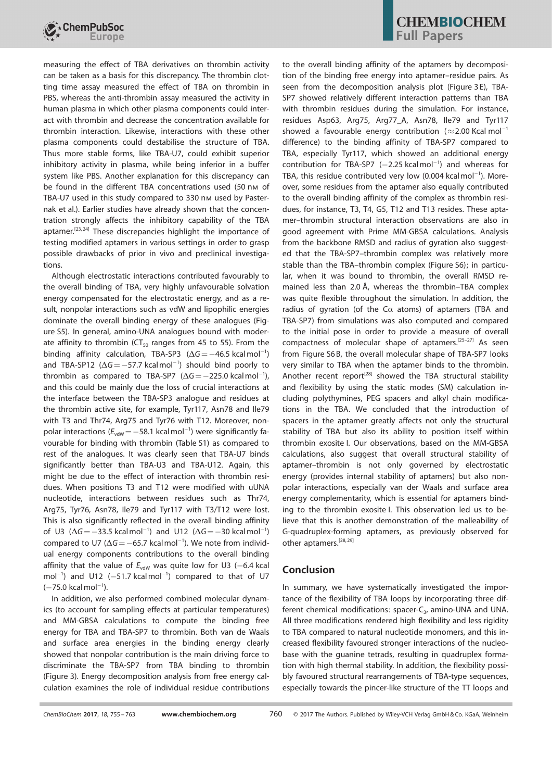

measuring the effect of TBA derivatives on thrombin activity can be taken as a basis for this discrepancy. The thrombin clotting time assay measured the effect of TBA on thrombin in PBS, whereas the anti-thrombin assay measured the activity in human plasma in which other plasma components could interact with thrombin and decrease the concentration available for thrombin interaction. Likewise, interactions with these other plasma components could destabilise the structure of TBA. Thus more stable forms, like TBA-U7, could exhibit superior inhibitory activity in plasma, while being inferior in a buffer system like PBS. Another explanation for this discrepancy can be found in the different TBA concentrations used (50 nм of TBA-U7 used in this study compared to 330 nm used by Pasternak et al.). Earlier studies have already shown that the concentration strongly affects the inhibitory capability of the TBA aptamer.<sup>[23,24]</sup> These discrepancies highlight the importance of testing modified aptamers in various settings in order to grasp possible drawbacks of prior in vivo and preclinical investigations.

Although electrostatic interactions contributed favourably to the overall binding of TBA, very highly unfavourable solvation energy compensated for the electrostatic energy, and as a result, nonpolar interactions such as vdW and lipophilic energies dominate the overall binding energy of these analogues (Figure S5). In general, amino-UNA analogues bound with moderate affinity to thrombin ( $CT_{50}$  ranges from 45 to 55). From the binding affinity calculation, TBA-SP3  $(\Delta G = -46.5 \text{ kcal mol}^{-1})$ and TBA-SP12 ( $\Delta G = -57.7$  kcalmol<sup>-1</sup>) should bind poorly to thrombin as compared to TBA-SP7 ( $\Delta G = -225.0$  kcalmol<sup>-1</sup>), and this could be mainly due the loss of crucial interactions at the interface between the TBA-SP3 analogue and residues at the thrombin active site, for example, Tyr117, Asn78 and Ile79 with T3 and Thr74, Arg75 and Tyr76 with T12. Moreover, nonpolar interactions ( $E_{vdW} = -58.1$  kcalmol<sup>-1</sup>) were significantly favourable for binding with thrombin (Table S1) as compared to rest of the analogues. It was clearly seen that TBA-U7 binds significantly better than TBA-U3 and TBA-U12. Again, this might be due to the effect of interaction with thrombin residues. When positions T3 and T12 were modified with uUNA nucleotide, interactions between residues such as Thr74, Arg75, Tyr76, Asn78, Ile79 and Tyr117 with T3/T12 were lost. This is also significantly reflected in the overall binding affinity of U3 ( $\Delta G = -33.5$  kcalmol<sup>-1</sup>) and U12 ( $\Delta G = -30$  kcalmol<sup>-1</sup>) compared to U7 ( $\Delta G = -65.7$  kcalmol<sup>-1</sup>). We note from individual energy components contributions to the overall binding affinity that the value of  $E_{\text{vdW}}$  was quite low for U3 (-6.4 kcal mol<sup>-1</sup>) and U12  $(-51.7 \text{ kcal mol}^{-1})$  compared to that of U7  $(-75.0 \text{ kcal mol}^{-1}).$ 

In addition, we also performed combined molecular dynamics (to account for sampling effects at particular temperatures) and MM-GBSA calculations to compute the binding free energy for TBA and TBA-SP7 to thrombin. Both van de Waals and surface area energies in the binding energy clearly showed that nonpolar contribution is the main driving force to discriminate the TBA-SP7 from TBA binding to thrombin (Figure 3). Energy decomposition analysis from free energy calculation examines the role of individual residue contributions to the overall binding affinity of the aptamers by decomposition of the binding free energy into aptamer–residue pairs. As seen from the decomposition analysis plot (Figure 3E), TBA-SP7 showed relatively different interaction patterns than TBA with thrombin residues during the simulation. For instance, residues Asp63, Arg75, Arg77\_A, Asn78, Ile79 and Tyr117 showed a favourable energy contribution ( $\approx$  2.00 Kcal mol<sup>-1</sup> difference) to the binding affinity of TBA-SP7 compared to TBA, especially Tyr117, which showed an additional energy contribution for TBA-SP7  $(-2.25 \text{ kcal mol}^{-1})$  and whereas for TBA, this residue contributed very low  $(0.004 \, \text{kcal} \, \text{mol}^{-1})$ . Moreover, some residues from the aptamer also equally contributed to the overall binding affinity of the complex as thrombin residues, for instance, T3, T4, G5, T12 and T13 resides. These aptamer–thrombin structural interaction observations are also in good agreement with Prime MM-GBSA calculations. Analysis from the backbone RMSD and radius of gyration also suggested that the TBA-SP7–thrombin complex was relatively more stable than the TBA–thrombin complex (Figure S6); in particular, when it was bound to thrombin, the overall RMSD remained less than 2.0 Å, whereas the thrombin–TBA complex was quite flexible throughout the simulation. In addition, the radius of gyration (of the C $\alpha$  atoms) of aptamers (TBA and TBA-SP7) from simulations was also computed and compared to the initial pose in order to provide a measure of overall compactness of molecular shape of aptamers.[25–27] As seen from Figure S6B, the overall molecular shape of TBA-SP7 looks very similar to TBA when the aptamer binds to the thrombin. Another recent report<sup>[28]</sup> showed the TBA structural stability and flexibility by using the static modes (SM) calculation including polythymines, PEG spacers and alkyl chain modifications in the TBA. We concluded that the introduction of spacers in the aptamer greatly affects not only the structural stability of TBA but also its ability to position itself within thrombin exosite I. Our observations, based on the MM-GBSA calculations, also suggest that overall structural stability of aptamer–thrombin is not only governed by electrostatic energy (provides internal stability of aptamers) but also nonpolar interactions, especially van der Waals and surface area energy complementarity, which is essential for aptamers binding to the thrombin exosite I. This observation led us to believe that this is another demonstration of the malleability of G-quadruplex-forming aptamers, as previously observed for other aptamers.<sup>[28,29]</sup>

## Conclusion

In summary, we have systematically investigated the importance of the flexibility of TBA loops by incorporating three different chemical modifications: spacer- $C_3$ , amino-UNA and UNA. All three modifications rendered high flexibility and less rigidity to TBA compared to natural nucleotide monomers, and this increased flexibility favoured stronger interactions of the nucleobase with the guanine tetrads, resulting in quadruplex formation with high thermal stability. In addition, the flexibility possibly favoured structural rearrangements of TBA-type sequences, especially towards the pincer-like structure of the TT loops and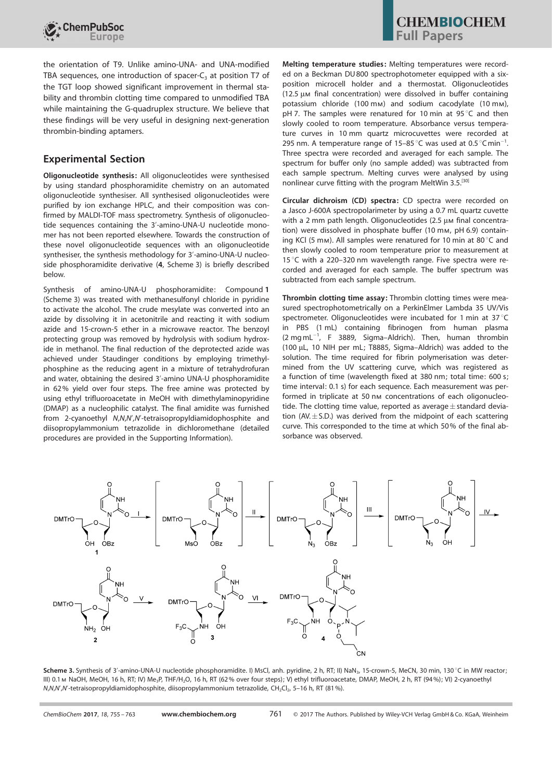

the orientation of T9. Unlike amino-UNA- and UNA-modified TBA sequences, one introduction of spacer- $C_3$  at position T7 of the TGT loop showed significant improvement in thermal stability and thrombin clotting time compared to unmodified TBA while maintaining the G-quadruplex structure. We believe that these findings will be very useful in designing next-generation thrombin-binding aptamers.

## Experimental Section

Oligonucleotide synthesis: All oligonucleotides were synthesised by using standard phosphoramidite chemistry on an automated oligonucleotide synthesiser. All synthesised oligonucleotides were purified by ion exchange HPLC, and their composition was confirmed by MALDI-TOF mass spectrometry. Synthesis of oligonucleotide sequences containing the 3'-amino-UNA-U nucleotide monomer has not been reported elsewhere. Towards the construction of these novel oligonucleotide sequences with an oligonucleotide synthesiser, the synthesis methodology for 3'-amino-UNA-U nucleoside phosphoramidite derivative (4, Scheme 3) is briefly described below.

Synthesis of amino-UNA-U phosphoramidite: Compound 1 (Scheme 3) was treated with methanesulfonyl chloride in pyridine to activate the alcohol. The crude mesylate was converted into an azide by dissolving it in acetonitrile and reacting it with sodium azide and 15-crown-5 ether in a microwave reactor. The benzoyl protecting group was removed by hydrolysis with sodium hydroxide in methanol. The final reduction of the deprotected azide was achieved under Staudinger conditions by employing trimethylphosphine as the reducing agent in a mixture of tetrahydrofuran and water, obtaining the desired 3'-amino UNA-U phosphoramidite in 62% yield over four steps. The free amine was protected by using ethyl trifluoroacetate in MeOH with dimethylaminopyridine (DMAP) as a nucleophilic catalyst. The final amidite was furnished from 2-cyanoethyl N,N,N',N'-tetraisopropyldiamidophosphite and diisopropylammonium tetrazolide in dichloromethane (detailed procedures are provided in the Supporting Information).

Melting temperature studies: Melting temperatures were recorded on a Beckman DU800 spectrophotometer equipped with a sixposition microcell holder and a thermostat. Oligonucleotides  $(12.5 \mu \text{m}$  final concentration) were dissolved in buffer containing potassium chloride (100 mm) and sodium cacodylate (10 mm), pH 7. The samples were renatured for 10 min at 95 $\degree$ C and then slowly cooled to room temperature. Absorbance versus temperature curves in 10 mm quartz microcuvettes were recorded at 295 nm. A temperature range of 15-85 °C was used at 0.5 °C min<sup>-1</sup>. Three spectra were recorded and averaged for each sample. The spectrum for buffer only (no sample added) was subtracted from each sample spectrum. Melting curves were analysed by using nonlinear curve fitting with the program MeltWin 3.5.<sup>[30]</sup>

Circular dichroism (CD) spectra: CD spectra were recorded on a Jasco J-600A spectropolarimeter by using a 0.7 mL quartz cuvette with a 2 mm path length. Oligonucleotides  $(2.5 \mu m)$  final concentration) were dissolved in phosphate buffer (10 mm, pH 6.9) containing KCl (5 mm). All samples were renatured for 10 min at 80 $^{\circ}$ C and then slowly cooled to room temperature prior to measurement at 15 $^{\circ}$ C with a 220–320 nm wavelength range. Five spectra were recorded and averaged for each sample. The buffer spectrum was subtracted from each sample spectrum.

Thrombin clotting time assay: Thrombin clotting times were measured spectrophotometrically on a PerkinElmer Lambda 35 UV/Vis spectrometer. Oligonucleotides were incubated for 1 min at 37 $^{\circ}$ C in PBS (1 mL) containing fibrinogen from human plasma  $(2 \text{ mg} \text{ mL}^{-1}$ , F 3889, Sigma-Aldrich). Then, human thrombin (100 mL, 10 NIH per mL; T8885, Sigma–Aldrich) was added to the solution. The time required for fibrin polymerisation was determined from the UV scattering curve, which was registered as a function of time (wavelength fixed at 380 nm; total time: 600 s; time interval: 0.1 s) for each sequence. Each measurement was performed in triplicate at 50 nm concentrations of each oligonucleotide. The clotting time value, reported as average  $\pm$  standard deviation (AV. $\pm$ S.D.) was derived from the midpoint of each scattering curve. This corresponded to the time at which 50% of the final absorbance was observed.



Scheme 3. Synthesis of 3'-amino-UNA-U nucleotide phosphoramidite. I) MsCl, anh. pyridine, 2 h, RT; II) NaN<sub>3</sub>, 15-crown-5, MeCN, 30 min, 130 °C in MW reactor; III) 0.1 m NaOH, MeOH, 16 h, RT; IV) Me<sub>3</sub>P, THF/H<sub>2</sub>O, 16 h, RT (62% over four steps); V) ethyl trifluoroacetate, DMAP, MeOH, 2 h, RT (94%); VI) 2-cyanoethyl N,N,N',N'-tetraisopropyldiamidophosphite, diisopropylammonium tetrazolide, CH<sub>2</sub>Cl<sub>2</sub>, 5–16 h, RT (81%).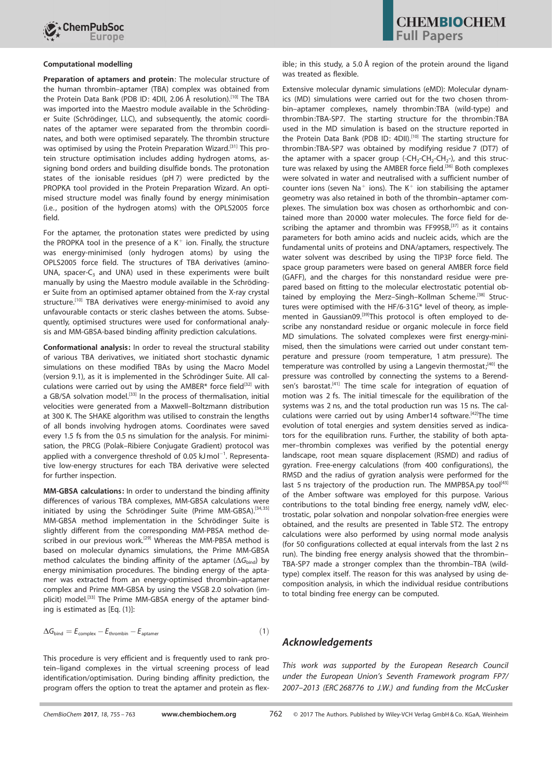

#### Computational modelling

Preparation of aptamers and protein: The molecular structure of the human thrombin–aptamer (TBA) complex was obtained from the Protein Data Bank (PDB ID: 4DII, 2.06 Å resolution).<sup>[10]</sup> The TBA was imported into the Maestro module available in the Schrödinger Suite (Schrödinger, LLC), and subsequently, the atomic coordinates of the aptamer were separated from the thrombin coordinates, and both were optimised separately. The thrombin structure was optimised by using the Protein Preparation Wizard.<sup>[31]</sup> This protein structure optimisation includes adding hydrogen atoms, assigning bond orders and building disulfide bonds. The protonation states of the ionisable residues (pH 7) were predicted by the PROPKA tool provided in the Protein Preparation Wizard. An optimised structure model was finally found by energy minimisation (i.e., position of the hydrogen atoms) with the OPLS2005 force field.

For the aptamer, the protonation states were predicted by using the PROPKA tool in the presence of a  $K^+$  ion. Finally, the structure was energy-minimised (only hydrogen atoms) by using the OPLS2005 force field. The structures of TBA derivatives (amino-UNA, spacer- $C_3$  and UNA) used in these experiments were built manually by using the Maestro module available in the Schrödinger Suite from an optimised aptamer obtained from the X-ray crystal structure.<sup>[10]</sup> TBA derivatives were energy-minimised to avoid any unfavourable contacts or steric clashes between the atoms. Subsequently, optimised structures were used for conformational analysis and MM-GBSA-based binding affinity prediction calculations.

Conformational analysis: In order to reveal the structural stability of various TBA derivatives, we initiated short stochastic dynamic simulations on these modified TBAs by using the Macro Model (version 9.1), as it is implemented in the Schrödinger Suite. All calculations were carried out by using the AMBER\* force field<sup>[32]</sup> with a GB/SA solvation model.<sup>[33]</sup> In the process of thermalisation, initial velocities were generated from a Maxwell–Boltzmann distribution at 300 K. The SHAKE algorithm was utilised to constrain the lengths of all bonds involving hydrogen atoms. Coordinates were saved every 1.5 fs from the 0.5 ns simulation for the analysis. For minimisation, the PRCG (Polak–Ribiere Conjugate Gradient) protocol was applied with a convergence threshold of 0.05  $kJ$  mol<sup>-1</sup>. Representative low-energy structures for each TBA derivative were selected for further inspection.

MM-GBSA calculations: In order to understand the binding affinity differences of various TBA complexes, MM-GBSA calculations were initiated by using the Schrödinger Suite (Prime MM-GBSA).<sup>[34,35]</sup> MM-GBSA method implementation in the Schrödinger Suite is slightly different from the corresponding MM-PBSA method described in our previous work.<sup>[29]</sup> Whereas the MM-PBSA method is based on molecular dynamics simulations, the Prime MM-GBSA method calculates the binding affinity of the aptamer ( $\Delta G_{\text{bind}}$ ) by energy minimisation procedures. The binding energy of the aptamer was extracted from an energy-optimised thrombin–aptamer complex and Prime MM-GBSA by using the VSGB 2.0 solvation (implicit) model.<sup>[33]</sup> The Prime MM-GBSA energy of the aptamer binding is estimated as [Eq. (1)]:

$$
\Delta G_{\text{bind}} = E_{\text{complex}} - E_{\text{thrombin}} - E_{\text{aptamer}} \tag{1}
$$

This procedure is very efficient and is frequently used to rank protein–ligand complexes in the virtual screening process of lead identification/optimisation. During binding affinity prediction, the program offers the option to treat the aptamer and protein as flexible; in this study, a 5.0 Å region of the protein around the ligand was treated as flexible.

Extensive molecular dynamic simulations (eMD): Molecular dynamics (MD) simulations were carried out for the two chosen thrombin–aptamer complexes, namely thrombin:TBA (wild-type) and thrombin:TBA-SP7. The starting structure for the thrombin:TBA used in the MD simulation is based on the structure reported in the Protein Data Bank (PDB ID: 4DII).<sup>[10]</sup> The starting structure for thrombin:TBA-SP7 was obtained by modifying residue 7 (DT7) of the aptamer with a spacer group  $(-CH_2-CH_2-CH_2-)$ , and this structure was relaxed by using the AMBER force field.<sup>[36]</sup> Both complexes were solvated in water and neutralised with a sufficient number of counter ions (seven Na<sup>+</sup> ions). The  $K^+$  ion stabilising the aptamer geometry was also retained in both of the thrombin–aptamer complexes. The simulation box was chosen as orthorhombic and contained more than 20000 water molecules. The force field for describing the aptamer and thrombin was FF99SB, $^{[37]}$  as it contains parameters for both amino acids and nucleic acids, which are the fundamental units of proteins and DNA/aptamers, respectively. The water solvent was described by using the TIP3P force field. The space group parameters were based on general AMBER force field (GAFF), and the charges for this nonstandard residue were prepared based on fitting to the molecular electrostatic potential obtained by employing the Merz–Singh–Kollman Scheme.<sup>[38]</sup> Structures were optimised with the HF/6-31G\* level of theory, as implemented in Gaussian09.<sup>[39]</sup>This protocol is often employed to describe any nonstandard residue or organic molecule in force field MD simulations. The solvated complexes were first energy-minimised, then the simulations were carried out under constant temperature and pressure (room temperature, 1 atm pressure). The temperature was controlled by using a Langevin thermostat;<sup>[40]</sup> the pressure was controlled by connecting the systems to a Berendsen's barostat.<sup>[41]</sup> The time scale for integration of equation of motion was 2 fs. The initial timescale for the equilibration of the systems was 2 ns, and the total production run was 15 ns. The calculations were carried out by using Amber14 software.<sup>[42]</sup>The time evolution of total energies and system densities served as indicators for the equilibration runs. Further, the stability of both aptamer–thrombin complexes was verified by the potential energy landscape, root mean square displacement (RSMD) and radius of gyration. Free-energy calculations (from 400 configurations), the RMSD and the radius of gyration analysis were performed for the last 5 ns trajectory of the production run. The MMPBSA.py tool<sup>[43]</sup> of the Amber software was employed for this purpose. Various contributions to the total binding free energy, namely vdW, electrostatic, polar solvation and nonpolar solvation-free energies were obtained, and the results are presented in Table ST2. The entropy calculations were also performed by using normal mode analysis (for 50 configurations collected at equal intervals from the last 2 ns run). The binding free energy analysis showed that the thrombin– TBA-SP7 made a stronger complex than the thrombin–TBA (wildtype) complex itself. The reason for this was analysed by using decomposition analysis, in which the individual residue contributions to total binding free energy can be computed.

#### Acknowledgements

This work was supported by the European Research Council under the European Union's Seventh Framework program FP7/ 2007–2013 (ERC268776 to J.W.) and funding from the McCusker